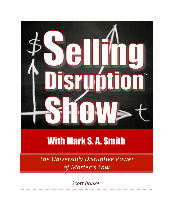

## **With Mark S.A. Smith**

*The Universally Disruptive Power of Martec's Law*

*Scott Brinker*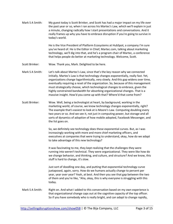Mark S A Smith: My guest today is Scott Brinker, and Scott has had a major impact on my life over the past year or so, when I ran across his Martec's Law, which we'll explain in just a minute, changing radically how I start presentations and conversations. And it really frames up why you have to embrace disruption if you're going to survive in today's world.

> He is the Vice President of Platform Ecosystems at HubSpot, a company I'm sure you've heard of. He is the Editor in Chief, Martec.com, talking about marketing technology, we'll dig into that, and he's a program chair of Martec, a conference that helps people do better at marketing technology. Welcome, Scott.

- Scott Brinker: Wow. Thank you, Mark. Delighted to be here.
- Mark S A Smith: Let's talk about Martec's Law, since that's the key reason why we connected initially. Martec's Law is that technology changes exponentially, really fast. Yet, organizations change logarithmically, very slowly. And this gap widens over time, eventually requiring a reset of the organization. So, because of this management must strategically choose, which technological changes to embrace, given the highly constrained bandwidth for absorbing organizational changes. That is a massive insight. How'd you come up with that? Where'd that come from?
- Scott Brinker: Wow. Well, being a technologist at heart, by background, working in the marketing world, of course, we know technology changes exponentially, right? The example that's easiest to look at is Moore's Law. Computing doubling every two years or so. And we see it, not just in computing power, but storage and all sorts of dynamics of adoption of how mobile adopted, Facebook Messenger, and the list goes on.

So, we definitely see technology does these exponential curves. But, as I was increasingly working with more and more chief marketing officers, and executives at companies that were trying to understand, okay, how do we adapt to take advantage of this new technology?

It was fascinating to me, they kept realizing that the challenges they were running into weren't technical. They were organizational. They were like how do we change behavior, and thinking, and culture, and structure? And we know, this stuff is hard to change, it's slow.

Just sort of doodling one day, and putting that exponential technology curve juxtaposed, again, sorry. How do we humans actually change to percent per year, year over year? Yeah, at best. And then you see that gap between the two of them and you're like, "Aha, okay, this is why everyone is struggling with this today.

## Mark S A Smith: Right on. And what I added to this conversation based on my own experience is that organizational change caps out at the cognitive capacity of the top officer. So if you have somebody who is really bright, and can adapt to change rapidly,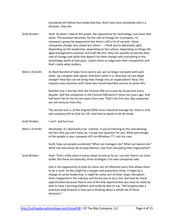everybody will follow that leadership fast. And if you have somebody who's a dinosaur, they die.

- Scott Brinker: Yeah. So when I look at this graph, the exponential for technology, just leave that alone. The question becomes, for the rate of change for a company, no company's gonna be exponential but there's still a lot of variants. Some companies change very slowly but others ... I think you're absolutely right. Depending on the leadership, depending on the culture, depending on things like agile management practices and stuff like this, they can actually accelerate their rate of change and while that doesn't let them change with everything in the technology world at that pace, it gives them an edge over their competition and that's really what matters.
- Mark S A Smith: As Mark Benihof of Sales Force points out, we no longer compete with each other, we compete with speed. And that's what it is. How fast can we adopt change? How fast can we bring new change into an organization? Now, this impacts every business and I have two incontrovertible sources to prove this.

Number one is the fact that the Fortune 500 turns over by 50 percent every decade. Half the companies in the Fortune 500 weren't there ten years ago. And half won't be on the list ten years from now. That's the first one. Big companies are not immune from this.

The second one is, of the original DOW Jones industrial average list, there is only one company left on that list. GE. And they're about to be de-listed.

- Scott Brinker: I can't. Sad but true.
- Mark S A Smith: Absolutely. It's absolutely true. Listener, if you're listening to this and denying the fact that you can't keep up, I've got one question for you. What percentage of the people in your company still run Windows 7? I rest my case.

Scott, how can people accelerate? What can managers do? What can owners do? What can executives do to keep Martec's law from disrupting their organization?

Scott Brinker: Yeah. That's really what it comes down to and as far as I can tell, there's no silver bullet. But there are basically, three strategies I've seen companies take.

> One is this opportunity to look for some sort of inflection point that allows them to do a reset. So this might be a merger and acquisition thing. It might be a change of senior leadership. It might be some sort of other major disruption that's happened in the industry and forced you to do a rest. But look for these opportunities because they're one of the few opportunities you have to really be able to have a burning platform and really be able to say, "We've gotta take a quantum leap forward in how we're thinking about a whole set of these dynamics."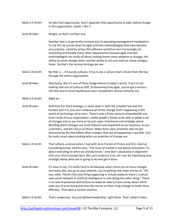- Mark S A Smith: So take that opportunity. Don't squander that opportunity to take radical change in the organization. Good. I like it.
- Scott Brinker: Alright, so that's number one.

Number two is to generally increase you're operating management metabolism. To me this all comes down to agile and lean methodologies that have become very popular, certainly across the software world but also increasingly ain marketing and frankly many other departments because agile and lean methodologies are really all about making teams more adaptive to change, the ability to sense change faster and the ability to act and react on those changes faster. So that's the second strategy we see.

Mark S A Smith: No that is ... It's purely cultural. It has to be a culture that's driven from the top through the entire organization.

Scott Brinker: Absolutely. But it's one of these things where in today's world, if you're not making that sort of cultural shift, to becoming truly agile, you've got a serious risk that you're incurring because your competitors almost certainly are.

- Mark S A Smith: Right on.
- Scott Brinker: And then the third strategy, in some ways is both the simplest but also the hardest and it is, you can't embrace all of the change that's happening in the world of technology all at once. There's only a finite amount of bandwidth you have inside of your organization, inside people's heads to be able to adopt a set of changes and so you have to be just super intentional and strategic about deciding which changes are most relevant and important to our business, to our customers, and let's focus on those. Make them clear priorities and not get distracted by the five billion other changes that are all happening in parallel. Let's be really smart about picking what our priorities of change are.
- Mark S A Smith: That reflects a conversation I had with Jerry Purcell of Prince and ICG, internal Consulting Group. And he says, "The issue of market is not about innovation, it's about executing on what we already know." And that's absolutely in alignment with your third concept here. We can't embrace it all, let's just be intentional and strategic about what we're going to do and get it done.
- Scott Brinker: It's easy to say. It's really hard to do because when there are so many changes and every day, you go to your website, you're getting new news stories of, "Oh, hey, wow. There's this cool thing happening in virtual reality or there's a whole new social network or artificial intelligence is now doing this other thing." There is no lack of potential distractions to really be able to have clarity about which ones you're prioritizing and stay the course on them long enough to make them effective. That takes a certain stamina.
- Mark S A Smith: That's leadership. You just defined leadership, right there. That's what it takes.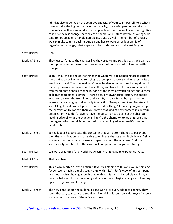I think it also depends on the cognitive capacity of your team overall. And what I have found is the higher the cognitive capacity, the easier people can take on change 'cause they can handle the complexity of the change. Lower the cognitive capacity, the less change that they can handle. And unfortunately, as we age, we tend to not be able to handle complexity quite as well. The number of choices we can make tend to decline. And so one has to wonder, as leadership of organizations change, what appears to be prudence, is actually just fatigue.

- Scott Brinker: Hm.
- Mark S A Smith: They just can't make the changes like they used to and so this begs the idea that the top management needs to change on a routine basis just to keep up with change.
- Scott Brinker: Yeah. I think this is one of the things that when we look at making organizations more agile, part of what we're trying to accomplish there is making them a little less hierarchical. The change doesn't have to always come from the top down. I think top down, you have to set the culture, you have to sit down and create this framework that enables change but one of the most powerful things about these agile methodologies is saying, "There's actually lower organization, the people who are really on the front lines of this stuff, that are in the best position to sense what is changing and actually take action. To experiment and iterate and see, 'Okay, how do we adapt to this new sort of thing.'" I think if you give people the permission to do that, then you create that kind of environment inside your organization. You don't have to have the person on top being at the absolute leading edge of what the change is. They're the champion to making sure that the organization overall is committed to the leading edge where it's change needs to be.
- Mark S A Smith: So the leader has to create the container that will permit change to occur and then the organization has to be able to embrace change at multiple levels. Being strategic about what you choose and specific about the outcome. And that seems really countered to the way most companies are organized today.
- Scott Brinker: We were organized for a world that wasn't changing at an exponential rate.
- Mark S A Smith: That is so true.
- Scott Brinker: This is why Martec's Law is difficult. If you're listening to this and you're thinking, "Wow, we're having a really tough time with this." I don't know of any company I've met that isn't having a tough time with it. It is just an incredibly challenging balance between those forces of good pace of technological change and keeping up with organizational change.
- Mark S A Smith: The new generation, the millennials and Gen Z, are very adept to change. They seem that way to me. I've raised five millennial children, I consider myself to be a success because none of them live at home.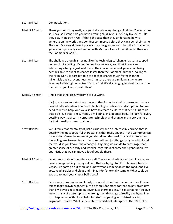## Scott Brinker: Congratulations.

- Mark S A Smith: Thank you. And they really are good at embracing change. And Gen Z, even more so, because listener, do you have a young child in your life? Say five or less. Do they play Minecraft? Well if that's the case then they understand how to generate online worlds and conduct commerce before they can spell their name. The world's a very different place and so the good news is that, the forthcoming generations probably can keep up with Martec's Law a little bit better than say the Boomers or Gen X.
- Scott Brinker: The challenge though is, it's not like the technological change has sorta capped out and hit its ceiling. It's continuing to accelerate, so I think it was very interesting what you just said there. The idea of millennial generation being perhaps able to adapt to change faster than the Boomers. But then looking at the rising Gen Z is possibly able to adapt to change much faster than the millennials and so it continues. And I'm sure there are millennials who are listening to this right now like, "Oh my God, it's all changing too fast for me. How the hell do you keep up with this?"
- Mark S A Smith: And if that's the case, welcome to our world.

It's just such an important component, that for us to admit to ourselves that we have blind spots when it comes to technological advance and adoption. And we need to recruit help. And we also have to create a culture that permits us to do that. I believe that I am currently a millennial in a Boomer body. I'd look for every possible way that I can incorporate technology and change and I seek out help for that. I really do need that help.

- Scott Brinker: Well I think that mentality of just a curiosity and an interest in learning, that is possibly the most powerful characteristic that really anyone in the workforce can have today. Cause the moment you shut down that curiosity or the interest or the willingness to even try and learn something, just things fly by. You blink and the world as you know it has changed. Anything we can do to encourage that greater sense of curiosity and wonder, regardless of someone's generation, I'm optimistic that we can move a lot of people there.
- Mark S A Smith: I'm optimistic about the future as well. There's no doubt about that. For me, we have to keep feeding the crystal ball. That's why I go to CES in January, here in Vegas. I've gotta go out there and know what's coming down the road. And I've gotta read articles and blogs and things I don't normally sample. What tools do you use to feed your crystal ball, Scott?
- Scott Brinker: I am a veracious reader and luckily the world of content is another one of those things that's grown exponentially. So there's far more content on any given day than I will ever get to read. But even just cherry picking, it's fascinating. You dive into so many of these topics that are right on that edge of reality and hype. Fun stuff happening with block chain, fun stuff happening with virtual reality, augmented reality. What is the state with artificial intelligence. There's a lot of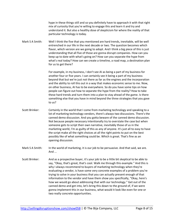hype in these things still and so you definitely have to approach it with that right mix of curiosity that you're willing to engage this and learn it and try and understand it. But also a healthy dose of skepticism for where the reality of that particular technology is today.

Mark S A Smith: Well I think the five that you mentioned are hard trends, inevitable, will be well entrenched in our life in the next decade or two. The question becomes which flavor, which version are we going to adopt. And I think a big piece of this is just understanding that all five of those are gonna disrupt companies. How can you keep up to date with what's going on? How can you separate the hype from what's real today? How can we create a timeline, a road map, a destination plan for us to get there?

> For example, in my business, I don't see AI as being a part of my business for another four or five years. I can certainly see it being a part of my business beyond that but we're just not there as far as the engines and the incorporation and the ability to roll this out in a way that makes economic sense to me. Now, on other business, AI has to be everywhere. So do you have some tips on how people can figure out how to separate the hype from the reality? How to take these hard trends and turn them into a plan to stay ahead of the game. Is there something else that you have in mind beyond the three strategies that you gave to us?

- Scott Brinker: Certainly in the world that I come from marketing technology and speaking to a lot of marketing technology vendors, there's always two discussions. There's the canned demo discussion. And you gotta beware of the canned demo discussion. Not because people necessary intentionally try to overstate the case but when someone gets to script their own narrative, inevitably those of us in the marketing world, I'm as guilty of this as any of anyone. It's just all to easy to have the script make all the right choices at all the right points to put on the best possibly like of what something could be. Which is great. That's fine as an opening discussion.
- Mark S A Smith: In the world of marketing, it is our job to be persuasive. And that said, we are. And ...
- Scott Brinker: And as a prospective buyer, it's your job to be a little bit skeptical to be able to say, "Okay, that's great, that's cool. Walk me through this example." And this is why I always recommend to buyers of marketing technology when they're evaluating a vendor, is have some very concrete examples of a problem you're trying to solve in your business that you can actually present enough of that information to the vendor and have them show you specifically, "Okay, here's how we would go about addressing that with our technology." Get out of the canned demo and get into, let's bring this down to the ground of, if we were gonna implement this in our business, what would it look like even for one or two really concrete opportunities.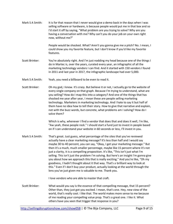| Mark S A Smith: | It is for that reason that I never would give a demo back in the days when I was<br>selling software or hardware, is because people would put me in that box and so<br>I'd start it off by saying, "What problem are you trying to solve? Why are you<br>having a conversation with me? Why can't you do your job on your own right<br>now, without me?"                                                                                                                                                                                                                                                                                                                                                                                                                                                                                   |
|-----------------|--------------------------------------------------------------------------------------------------------------------------------------------------------------------------------------------------------------------------------------------------------------------------------------------------------------------------------------------------------------------------------------------------------------------------------------------------------------------------------------------------------------------------------------------------------------------------------------------------------------------------------------------------------------------------------------------------------------------------------------------------------------------------------------------------------------------------------------------|
|                 | People would be shocked. What? Aren't you gonna give me a pitch? No. I mean, I<br>could show you my favorite feature, but I don't know if you'd like my favorite<br>features.                                                                                                                                                                                                                                                                                                                                                                                                                                                                                                                                                                                                                                                              |
| Scott Brinker:  | You're absolutely right. And I'm just nodding my head because one of the things I<br>do in Martec is, over the years, curated every year, an infographic of all the<br>marketing technology vendors I can find. And it started with 150 vendors I found<br>in 2011 and last year in 2017, the infographic landscape had over 5,000.                                                                                                                                                                                                                                                                                                                                                                                                                                                                                                        |
| Mark S A Smith: | Yeah, you need a billboard to be even to read it.                                                                                                                                                                                                                                                                                                                                                                                                                                                                                                                                                                                                                                                                                                                                                                                          |
| Scott Brinker:  | Oh my god, I know. It's crazy. But believe it or not, I actually go to the website of<br>every single company on that graph. Because I'm trying to understand, what are<br>you selling? How do I map this into a category? And one of the things that has<br>shocked me year after year, I mean these are people selling marketing<br>technology. Marketers in marketing technology. And I hate to say it but half of<br>them have no idea how to tell their story. How to give that narrative and explain,<br>not with the buzz words, but concrete, what problems am I solving? How do I<br>solve them?                                                                                                                                                                                                                                  |
|                 | Which is why, whenever I find a vendor that does that and does it well, I'm like,<br>"Aw yeah, these people rock." I should start a fund just to invest in people based<br>on if I can understand your website in 60 seconds or less, I'll invest in you.                                                                                                                                                                                                                                                                                                                                                                                                                                                                                                                                                                                  |
| Mark S A Smith: | That's great. Just guess, what percentage of the sites that you've reviewed<br>actually have a clear marketing message? It's less than half and I would say<br>maybe 30 to 40 percent, you can say, "Okay, I get your marketing message." But<br>then it's a much, much smaller percentage, maybe like 15 percent where it's not<br>just a clarity, it is a compelling proposition. It's like, "This isn't just what I'm<br>selling. This isn't just the problem I'm solving. But here's an insight I'm gonna give<br>you about how we approach this that is really exciting." And you're like, "Oh my<br>goodness, I hadn't thought about it that way. That's a brilliant way to look at<br>this." Even if I don't buy your product, actually looking at the world through the<br>lens you've just given me is valuable to me. Thank you. |
|                 | I love vendors who are able to master that craft.                                                                                                                                                                                                                                                                                                                                                                                                                                                                                                                                                                                                                                                                                                                                                                                          |
| Scott Brinker:  | What would you say is the essence of that compelling message, that 15 percent?<br>Other than, they just got you excited. I mean, that's one. Hey, new view of the<br>world, that's really cool. I like that. The world makes more sense to me because<br>of me reading your compelling value prop. That's a great one. I like it. What<br>others have you seen that trigger that response in you?                                                                                                                                                                                                                                                                                                                                                                                                                                          |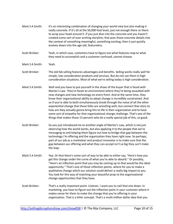|                 | really concrete. If it's all at the 50,000 foot level, just not enough there or there<br>to wrap your head around it. If you just dive into the concrete and you haven't<br>created some sort of over arching storyline, that puts those concrete details into<br>the context of something meaningful, something exciting, then it just quickly<br>evolves down into the age old, featureless.                                                                                                                                                                                                                                                                                                                                                                         |
|-----------------|------------------------------------------------------------------------------------------------------------------------------------------------------------------------------------------------------------------------------------------------------------------------------------------------------------------------------------------------------------------------------------------------------------------------------------------------------------------------------------------------------------------------------------------------------------------------------------------------------------------------------------------------------------------------------------------------------------------------------------------------------------------------|
| Scott Brinker:  | Yeah, in which case, customers have to figure out what features map to what<br>they need to accomplish and a customer confused, cannot choose.                                                                                                                                                                                                                                                                                                                                                                                                                                                                                                                                                                                                                         |
| Mark S A Smith: | Yeah.                                                                                                                                                                                                                                                                                                                                                                                                                                                                                                                                                                                                                                                                                                                                                                  |
| Scott Brinker:  | The old fab selling features advantages and benefits. Selling works really well for<br>simple, low consideration products and services. But do not use them in high<br>consideration situations. Most of what we're selling today is high consideration.                                                                                                                                                                                                                                                                                                                                                                                                                                                                                                               |
| Mark S A Smith: | Well and you have to put yourself in the shoes of the buyer that is faced with<br>Martec's Law. They're faced an environment where they're being assaulted with<br>new changes and new technology on every front. And at the same time, they<br>know their organizational ability to adopt change is incredibly constrained. And<br>so if you're able to both simultaneously break through the noise of all the other<br>exponential change that these folks are wrestling with, but connect that story to<br>how are they actually gonna bring this to life in their organization and to have<br>some sort of empathy for that organizational change challenge. That's one of the<br>things that makes those 15 percent who do a really special job of this, so good. |
| Scott Brinker:  | So you just introduced me to another angle of Martec's Law, which is not just<br>observing how the world works, but also applying it to the people that we're<br>messaging to and helping them figure out how to bridge that gap between the<br>technology I'm offering and the organization they have right now. So perhaps,<br>part of our job as a marketeer and product innovator is to make sure that the<br>gap between our offering and what they can accept isn't so big they can't make<br>the leap.                                                                                                                                                                                                                                                          |
| Mark S A Smith: | Yep. Or that there's some sort of way to be able to either say, "Here's how you<br>get this change under the curve of what you're able to absorb." Or possibly,<br>"Here's an inflection point that you may be coming up to that would be the ideal<br>opportunity." That's one of those inflection points, where for you to make a<br>qualitative change which our solution could deliver a really big impact to you.<br>You look for this way of matching your beautiful prop to the organizational<br>change opportunities that they have.                                                                                                                                                                                                                          |
| Scott Brinker:  | That's a really important point. Listener, I want you to nail that one down. In<br>marketing, you have to figure out the inflection point in your customer where it<br>makes sense for them to make the change that you're offering in your<br>organization. That is a killer concept. That's a multi-million dollar idea that you                                                                                                                                                                                                                                                                                                                                                                                                                                     |

Mark S A Smith: It's an interesting combination of changing your world view but also making it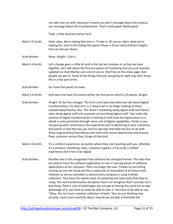can take and run with, because it means you don't message about the product, you message about the transformation. That's really good. Really good.

Yeah, a little stunned silence here.

Mark S A Smith: Yeah, okay. We're taking that one in. I'll take it. Of course, that's what we're looking for, here in the Selling Disruption Show, is those really brilliant insights that can disrupt. Boom.

- Scott Brinker: Wow, Alright. I Like It.
- Mark S A Smith: Let's change gears a little bit and in the last ten minutes or so that we have together, let's talk about the five disruptions of marketing that you just recently updated on chief Martec.com and of course, that'll be on the show page, that people can get to. Some of the things that you see going on right now and I know this is a five part series.
- Scott Brinker: So I have five points to make...

Mark S A Smith: And each one have five points within the five points which is 25 points. Alright.

- Scott Brinker: Alright. So the five changes. The first is this idea that when we talk about digital transformation, my view of it, is it means we're no longer looking at these isolated departments, like, "Oh, there's marketing doing digital stuff and there's sales doing digital stuff and customer service doing digital stuff." But really the essence of digital transformation is starting to look how the organization as a whole is now connected through some sort of digital capabilities. Partly so you can give greater continuity in the experience you're delivering to your customers. And partly so that the way you start to operate internally has less to do with those organizational boundaries and more with actual opportunity and process flow, customer service flow, things of that kind.
- Mark S A Smith: It's a uniform experience no matter where they start working with you. Whether it's a product, marketing, sales, customer support, it has to be a unified experience and it has to be digital.
- Scott Brinker: Number two is this recognition that software has changed forever. This idea that we used to have the software application or one or two big pieces of software applications at our company. That's no longer the case. Thanks to everything moving up into the cloud and this is explosion of innovation of all these small software as service providers is almost every company is using a whole collection. They have this whole stack of marketing and sales tools that they're using. The real transformative disruption here is to recognize that's actually not a bad thing. There's a lot of advantages you can get to having this stack but to take advantage of it, you have to really be able to own it. You have to be able to say, "Okay, this isn't just a random collection of tools." But we are thinking now actually, much more carefully about, how do we actually orchestrate the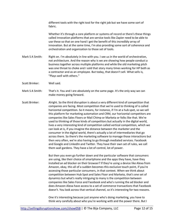different tools with the right tool for the right job but we have some sort of fabric.

Whether it's through a core platform or systems of record or there's these things called innovation platforms that are service tools like Zapier need to be able to use these so that on one hand I get the benefit of this incredibly array of innovation. But at the same time, I'm also providing some sort of coherence and orchestration and organization to those set of tools.

- Mark S A Smith: Right on. I'm absolutely in line with you. I see us in the world of orchestration, not architecture. And the reason why is we are showing how people conduct a business together across multiple platforms and while the old marketing pitch was one throat to choke and I sold that story many times working for HP both as a contractor and as an employee. But today, that doesn't sell. What sells is, "Plays well with others."
- Scott Brinker: Well said.
- Mark S A Smith: That's it. You and I are absolutely on the same page. It's the only way we can make money going forward.
- Scott Brinker: Alright. So the third disruption is about a very different kind of competition that companies are facing. Most competition that we're used to thinking of is called horizontal competition. So it means, for instance, if I'm at a hub spot, so we sell this platform for marketing automation and CRM, our horizontal competitors are companies like Sales Floors or Mail Chimp or Marketa or folks like that. We're used to thinking of those kinds of competitors but actually in the digital world, lives a very interesting kind of competition called vertical competition, which we can look at is, if you imagine the distance between the marketer and the consumer in the digital world, there's actually a lot of intermediaries that go across there. So there's the marketing software to manage those interactions but then very often, we're also having to go through mediated services. Facebook and Google and LinkedIn and Twitter. They have their own set of rules, we call them wall gardens. They have a lot of control, lot of power.

But then you even go further down and the particular software that consumers are using, like their choice of smartphone and the apps they have, have they installed an ad blocker on their browser? If they're using a device like Alexa from Amazon, okay, this all of a sudden becomes this exclusive touch point, if you're accessing those particular consumers, in that context. When we think about competition between Hub Spot and Sales Floor and Marketo, that's one set of dynamics but what's really intriguing to many is the competition between companies like Sales Force and Facebook and who's running the ad blocker and does Amazon Alexa have access to a set of commerce transactions that Facebook doesn't. You look across that vertical channel, so it's interesting for two reasons.

One it's interesting because just anyone who's doing marketing, you have to think very carefully about who you're working with and the power there. But I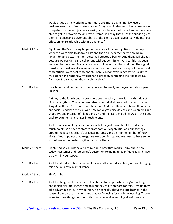would argue as the world becomes more and more digital, frankly, every business needs to think carefully about, "Hey, am I in danger of having someone compete with me, not just as a classic, horizontal competitor but someone who's able to get in between me and my customer in a way that all of the sudden gives them influence and power and share of the pie that can have a really deleterious effect on my relationship with my audience."

Mark S A Smith: Right, and that's a moving target in the world of marketing. Back in the days when we were able to do fax blasts and then policy came that we could no longer do fax blasts. And then voicemail created a barrier. And then, cell phones because we couldn't call a cell phone without permission. And so this has been going on for decades. Probably a whole lot longer than that and then the digital transformational era, it's even more complex. And so this concept of the vertical competition is a critical component. Thank you for explaining that so lucidly to my listener and right now my listener is probably scratching their head going, "Oh, boy, I really hadn't thought about that."

Scott Brinker: It's a bit of mind bender but when you start to see it, your eyes definitely open up wide.

> Alright, so the fourth one, pretty short but incredibly powerful. It's this idea of digital everything. That when we talked about digital, we used to mean the web. Alright, well there's the web and the email. And then there's web and then email and social. And then mobile. And now we've got voice devices and wearables and smart TVs and Internet of Things and VR and the list is exploding. Again, this goes back to exponential changes in technology.

And so, we can no longer as senior marketers, just think about the individual touch points. We have to start to craft both our capabilities and our strategy around the idea that there's practical purposes and an infinite number of new kinds of touch points that are gonna keep coming up and we need to have some sort of way of orchestrating it across all of them.

- Mark S A Smith: Right. And so you just have to think about how that works. Think about how today's customer and tomorrow's customer are going to be influenced and have that within your scope.
- Scott Brinker: And the fifth disruption is we can't have a talk about disruption, without bringing this one up, artificial intelligence.
- Mark S A Smith: That's right.
- Scott Brinker: And the thing that I really try to drive home to people when they're thinking about artificial intelligence and how do they really prepare for this. How do they take advantage of it? In my opinion, it's not really about the intelligence in the sense of the particular algorithms that you're using for machine learning. There's value to those things but the truth is, most machine learning algorithms are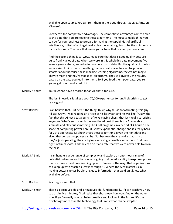available open source. You can rent them in the cloud through Google, Amazon, Microsoft.

So where's the competitive advantage? The competitive advantage comes down to the data that you are feeding these algorithms. The most valuable thing you can do for your business to prepare for having the capabilities of artificial intelligence, is first of all to get really clear on what is going to be the unique data for our business. The data that we're gonna have that our competitors aren't.

And the second thing is to, wow, make sure that data is good quality because quite frankly a lot of data when we were in this whole big data movement five years ago or so here, we collected a whole ton of data. But the quality of it, who knows. And I think that's something that we really have to start to get a lot smarter about because these machine learning algorithms, they're not magic. They're math and they're statistical algorithms. They will give you the results, based on the data you feed into them. So if you feed them poor date, you're gonna get poor results out of it.

Mark S A Smith: You're gonna have a moron for an AI, that's for sure.

The last I heard, is it takes about 70,000 experiences for an AI algorithm to get really good.

- Scott Brinker: I can believe that. But here's the thing, this is why this is so fascinating, this guy Allister Crawl, I was reading an article of his last year, and he was like, "Okay, the fact that this AI just beat a bunch of folks playing chess, that isn't really surprising anymore. What's surprising is the way the AI beat them, is the AI was able to simulate and play out something like 4 billion games in a period of 4 hours." The scope of computing power here, it is that exponential change and it's really hard for us to appreciate just how smart these algorithms, given the right data and given that computing power can be. Not because they're really that smart, they're just operating, they're trying every single possibly variation to find their right, optimal spots. And they can do it at a rate that we were never able to do in the past.
- Mark S A Smith: It can handle a wide range of complexity and explore an enormous range of potential outcomes and that's what's going to drive AI's ability to explore options that we have a hard time keeping up with. So one of the ways that organizations can keep up with Martec's Law is through AI. Where the AI will assist us in making better choices by alerting us to information that we didn't know what available before.

Scott Brinker: Yes. I agree with that.

Mark S A Smith: There's a positive side and a negative side, fundamentally. If I can teach you how to do it in five minutes, AI will take that shot away from you. And on the other side, if you're really good at being creative and looking in the future, it's the psychology more than the technology that limits what can be adopted.